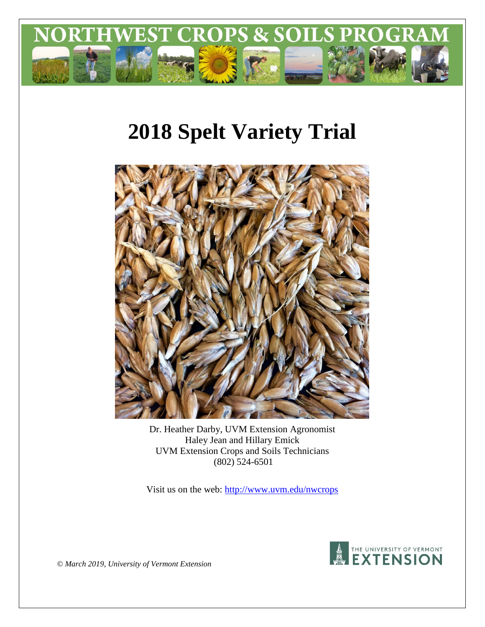

# **2018 Spelt Variety Trial**



Dr. Heather Darby, UVM Extension Agronomist Haley Jean and Hillary Emick UVM Extension Crops and Soils Technicians (802) 524-6501

Visit us on the web:<http://www.uvm.edu/nwcrops>



*© March 2019, University of Vermont Extension*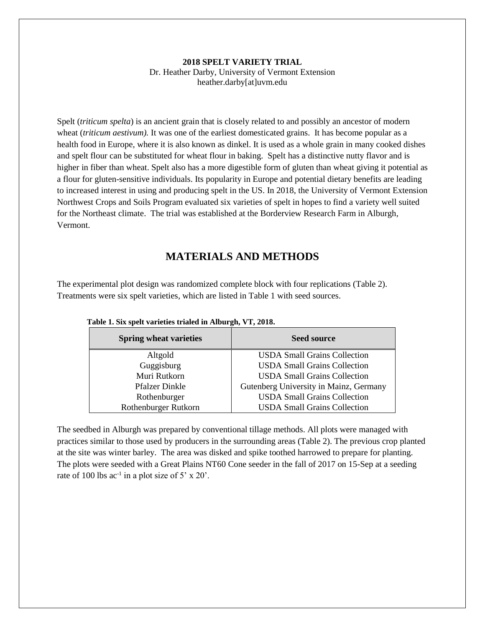#### **2018 SPELT VARIETY TRIAL** Dr. Heather Darby, University of Vermont Extension heather.darby[at]uvm.edu

Spelt (*triticum spelta*) is an ancient grain that is closely related to and possibly an ancestor of modern wheat *(triticum aestivum)*. It was one of the earliest domesticated grains. It has become popular as a health food in Europe, where it is also known as dinkel. It is used as a whole grain in many cooked dishes and spelt flour can be substituted for wheat flour in baking. Spelt has a distinctive nutty flavor and is higher in fiber than wheat. Spelt also has a more digestible form of gluten than wheat giving it potential as a flour for gluten-sensitive individuals. Its popularity in Europe and potential dietary benefits are leading to increased interest in using and producing spelt in the US. In 2018, the University of Vermont Extension Northwest Crops and Soils Program evaluated six varieties of spelt in hopes to find a variety well suited for the Northeast climate. The trial was established at the Borderview Research Farm in Alburgh, Vermont.

## **MATERIALS AND METHODS**

The experimental plot design was randomized complete block with four replications (Table 2). Treatments were six spelt varieties, which are listed in Table 1 with seed sources.

| <b>Spring wheat varieties</b> | <b>Seed source</b>                     |
|-------------------------------|----------------------------------------|
| Altgold                       | <b>USDA Small Grains Collection</b>    |
| Guggisburg                    | <b>USDA Small Grains Collection</b>    |
| Muri Rutkorn                  | <b>USDA Small Grains Collection</b>    |
| <b>Pfalzer Dinkle</b>         | Gutenberg University in Mainz, Germany |
| Rothenburger                  | <b>USDA Small Grains Collection</b>    |
| Rothenburger Rutkorn          | <b>USDA Small Grains Collection</b>    |

|  |  | Table 1. Six spelt varieties trialed in Alburgh, VT, 2018. |  |
|--|--|------------------------------------------------------------|--|
|  |  |                                                            |  |

The seedbed in Alburgh was prepared by conventional tillage methods. All plots were managed with practices similar to those used by producers in the surrounding areas (Table 2). The previous crop planted at the site was winter barley. The area was disked and spike toothed harrowed to prepare for planting. The plots were seeded with a Great Plains NT60 Cone seeder in the fall of 2017 on 15-Sep at a seeding rate of 100 lbs  $ac^{-1}$  in a plot size of 5' x 20'.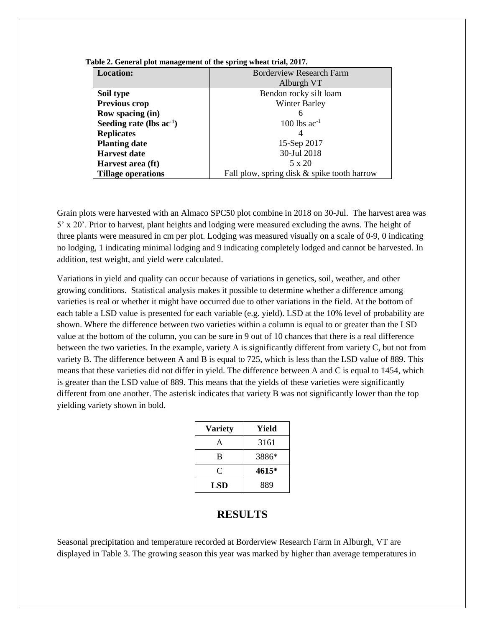| <b>Location:</b>              | Borderview Research Farm                    |  |  |  |
|-------------------------------|---------------------------------------------|--|--|--|
|                               |                                             |  |  |  |
|                               | Alburgh VT                                  |  |  |  |
| Soil type                     | Bendon rocky silt loam                      |  |  |  |
| Previous crop                 | <b>Winter Barley</b>                        |  |  |  |
| Row spacing (in)              | h                                           |  |  |  |
| Seeding rate (lbs $ac^{-1}$ ) | $100$ lbs ac <sup>-1</sup>                  |  |  |  |
| <b>Replicates</b>             | 4                                           |  |  |  |
| <b>Planting date</b>          | 15-Sep 2017                                 |  |  |  |
| <b>Harvest date</b>           | 30-Jul 2018                                 |  |  |  |
| Harvest area (ft)             | 5 x 20                                      |  |  |  |
| <b>Tillage operations</b>     | Fall plow, spring disk & spike tooth harrow |  |  |  |

**Table 2. General plot management of the spring wheat trial, 2017.**

Grain plots were harvested with an Almaco SPC50 plot combine in 2018 on 30-Jul. The harvest area was 5' x 20'. Prior to harvest, plant heights and lodging were measured excluding the awns. The height of three plants were measured in cm per plot. Lodging was measured visually on a scale of 0-9, 0 indicating no lodging, 1 indicating minimal lodging and 9 indicating completely lodged and cannot be harvested. In addition, test weight, and yield were calculated.

Variations in yield and quality can occur because of variations in genetics, soil, weather, and other growing conditions. Statistical analysis makes it possible to determine whether a difference among varieties is real or whether it might have occurred due to other variations in the field. At the bottom of each table a LSD value is presented for each variable (e.g. yield). LSD at the 10% level of probability are shown. Where the difference between two varieties within a column is equal to or greater than the LSD value at the bottom of the column, you can be sure in 9 out of 10 chances that there is a real difference between the two varieties. In the example, variety A is significantly different from variety C, but not from variety B. The difference between A and B is equal to 725, which is less than the LSD value of 889. This means that these varieties did not differ in yield. The difference between A and C is equal to 1454, which is greater than the LSD value of 889. This means that the yields of these varieties were significantly different from one another. The asterisk indicates that variety B was not significantly lower than the top yielding variety shown in bold.

| <b>Variety</b> | Yield |
|----------------|-------|
| A              | 3161  |
| B              | 3886* |
| C              | 4615* |
| <b>LSD</b>     | 889   |

### **RESULTS**

Seasonal precipitation and temperature recorded at Borderview Research Farm in Alburgh, VT are displayed in Table 3. The growing season this year was marked by higher than average temperatures in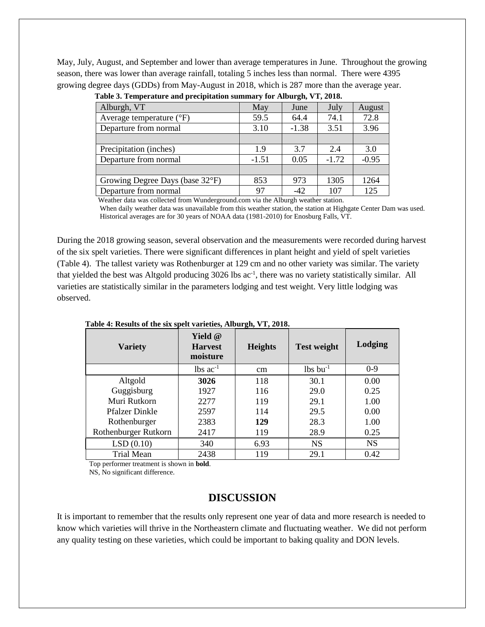May, July, August, and September and lower than average temperatures in June. Throughout the growing season, there was lower than average rainfall, totaling 5 inches less than normal. There were 4395 growing degree days (GDDs) from May-August in 2018, which is 287 more than the average year.

| $\cdots$                          |         |         |         |         |  |  |
|-----------------------------------|---------|---------|---------|---------|--|--|
| Alburgh, VT                       | May     | June    | July    | August  |  |  |
| Average temperature $(^{\circ}F)$ | 59.5    | 64.4    | 74.1    | 72.8    |  |  |
| Departure from normal             | 3.10    | $-1.38$ | 3.51    | 3.96    |  |  |
|                                   |         |         |         |         |  |  |
| Precipitation (inches)            | 1.9     | 3.7     | 2.4     | 3.0     |  |  |
| Departure from normal             | $-1.51$ | 0.05    | $-1.72$ | $-0.95$ |  |  |
|                                   |         |         |         |         |  |  |
| Growing Degree Days (base 32°F)   | 853     | 973     | 1305    | 1264    |  |  |
| Departure from normal             | 97      | $-42$   | 107     | 125     |  |  |

| Table 3. Temperature and precipitation summary for Alburgh, VT, 2018. |  |  |
|-----------------------------------------------------------------------|--|--|
|-----------------------------------------------------------------------|--|--|

Weather data was collected from Wunderground.com via the Alburgh weather station.

 When daily weather data was unavailable from this weather station, the station at Highgate Center Dam was used. Historical averages are for 30 years of NOAA data (1981-2010) for Enosburg Falls, VT.

During the 2018 growing season, several observation and the measurements were recorded during harvest of the six spelt varieties. There were significant differences in plant height and yield of spelt varieties (Table 4). The tallest variety was Rothenburger at 129 cm and no other variety was similar. The variety that yielded the best was Altgold producing 3026 lbs ac<sup>-1</sup>, there was no variety statistically similar. All varieties are statistically similar in the parameters lodging and test weight. Very little lodging was observed.

| Twore it recould be the only open varieties, through, $\tau$ is $\equiv 0.10$ . |                                              |                                      |                        |           |  |  |
|---------------------------------------------------------------------------------|----------------------------------------------|--------------------------------------|------------------------|-----------|--|--|
| <b>Variety</b>                                                                  | <b>Yield</b> @<br><b>Harvest</b><br>moisture | <b>Heights</b><br><b>Test weight</b> |                        | Lodging   |  |  |
|                                                                                 | $lbs$ ac <sup>-1</sup>                       | cm                                   | $lbs$ bu <sup>-1</sup> | $0-9$     |  |  |
| Altgold                                                                         | 3026                                         | 118                                  | 30.1                   | 0.00      |  |  |
| Guggisburg                                                                      | 1927                                         | 116                                  | 29.0                   | 0.25      |  |  |
| Muri Rutkorn                                                                    | 2277                                         | 119                                  | 29.1                   | 1.00      |  |  |
| <b>Pfalzer Dinkle</b>                                                           | 2597                                         | 114                                  | 29.5                   | 0.00      |  |  |
| Rothenburger                                                                    | 2383                                         | 129                                  | 28.3                   | 1.00      |  |  |
| Rothenburger Rutkorn                                                            | 2417                                         | 119                                  | 28.9                   | 0.25      |  |  |
| LSD(0.10)                                                                       | 340                                          | 6.93                                 | <b>NS</b>              | <b>NS</b> |  |  |
| <b>Trial Mean</b>                                                               | 2438                                         | 119                                  | 29.1                   | 0.42      |  |  |

 **Table 4: Results of the six spelt varieties, Alburgh, VT, 2018.**

Top performer treatment is shown in **bold**.

NS, No significant difference.

#### **DISCUSSION**

It is important to remember that the results only represent one year of data and more research is needed to know which varieties will thrive in the Northeastern climate and fluctuating weather. We did not perform any quality testing on these varieties, which could be important to baking quality and DON levels.